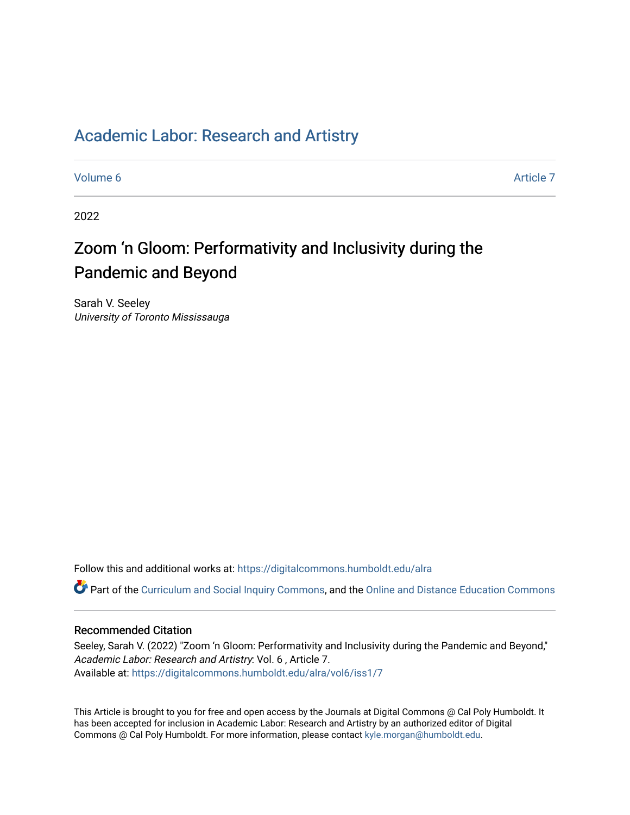# [Academic Labor: Research and Artistry](https://digitalcommons.humboldt.edu/alra)

[Volume 6](https://digitalcommons.humboldt.edu/alra/vol6) [Article 7](https://digitalcommons.humboldt.edu/alra/vol6/iss1/7) 

2022

# Zoom 'n Gloom: Performativity and Inclusivity during the Pandemic and Beyond

Sarah V. Seeley University of Toronto Mississauga

Follow this and additional works at: [https://digitalcommons.humboldt.edu/alra](https://digitalcommons.humboldt.edu/alra?utm_source=digitalcommons.humboldt.edu%2Falra%2Fvol6%2Fiss1%2F7&utm_medium=PDF&utm_campaign=PDFCoverPages)

Part of the [Curriculum and Social Inquiry Commons,](http://network.bepress.com/hgg/discipline/1038?utm_source=digitalcommons.humboldt.edu%2Falra%2Fvol6%2Fiss1%2F7&utm_medium=PDF&utm_campaign=PDFCoverPages) and the [Online and Distance Education Commons](http://network.bepress.com/hgg/discipline/1296?utm_source=digitalcommons.humboldt.edu%2Falra%2Fvol6%2Fiss1%2F7&utm_medium=PDF&utm_campaign=PDFCoverPages) 

# Recommended Citation

Seeley, Sarah V. (2022) "Zoom 'n Gloom: Performativity and Inclusivity during the Pandemic and Beyond," Academic Labor: Research and Artistry: Vol. 6 , Article 7. Available at: [https://digitalcommons.humboldt.edu/alra/vol6/iss1/7](https://digitalcommons.humboldt.edu/alra/vol6/iss1/7?utm_source=digitalcommons.humboldt.edu%2Falra%2Fvol6%2Fiss1%2F7&utm_medium=PDF&utm_campaign=PDFCoverPages)

This Article is brought to you for free and open access by the Journals at Digital Commons @ Cal Poly Humboldt. It has been accepted for inclusion in Academic Labor: Research and Artistry by an authorized editor of Digital Commons @ Cal Poly Humboldt. For more information, please contact [kyle.morgan@humboldt.edu](mailto:kyle.morgan@humboldt.edu).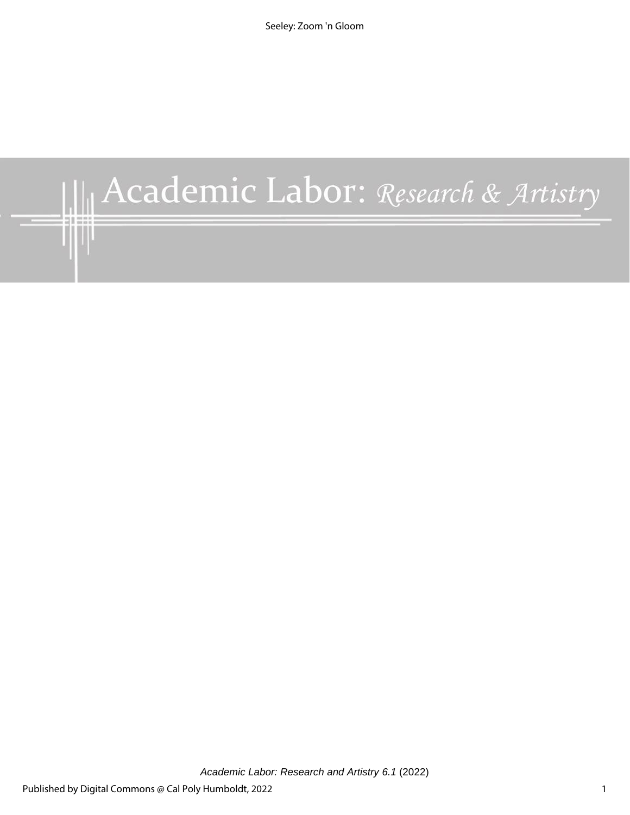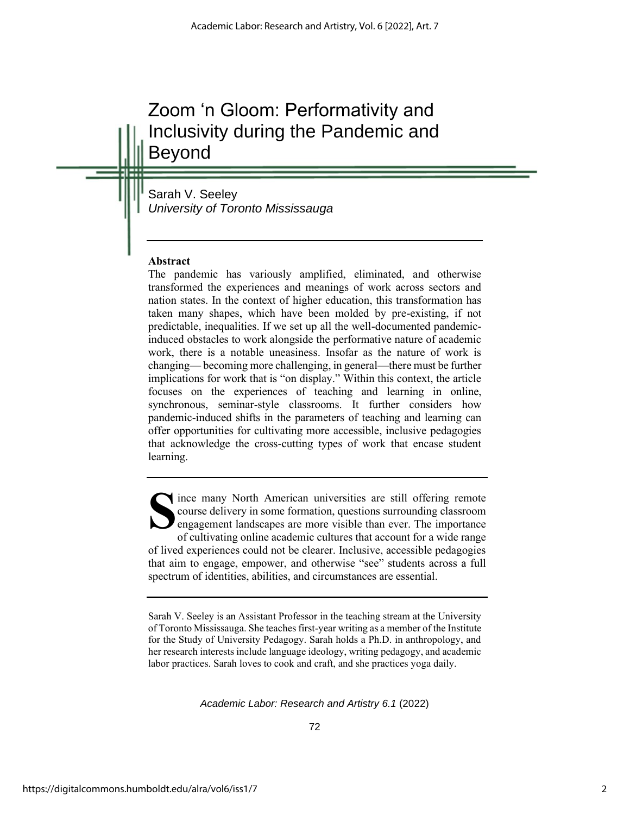# Zoom 'n Gloom: Performativity and Inclusivity during the Pandemic and Beyond

Sarah V. Seeley *University of Toronto Mississauga*

## **Abstract**

The pandemic has variously amplified, eliminated, and otherwise transformed the experiences and meanings of work across sectors and nation states. In the context of higher education, this transformation has taken many shapes, which have been molded by pre-existing, if not predictable, inequalities. If we set up all the well-documented pandemicinduced obstacles to work alongside the performative nature of academic work, there is a notable uneasiness. Insofar as the nature of work is changing— becoming more challenging, in general—there must be further implications for work that is "on display." Within this context, the article focuses on the experiences of teaching and learning in online, synchronous, seminar-style classrooms. It further considers how pandemic-induced shifts in the parameters of teaching and learning can offer opportunities for cultivating more accessible, inclusive pedagogies that acknowledge the cross-cutting types of work that encase student learning.

ince many North American universities are still offering remote course delivery in some formation, questions surrounding classroom engagement landscapes are more visible than ever. The importance of cultivating online academic cultures that account for a wide range of lived experiences could not be clearer. Inclusive, accessible pedagogies that aim to engage, empower, and otherwise "see" students across a full spectrum of identities, abilities, and circumstances are essential. **S**

Sarah V. Seeley is an Assistant Professor in the teaching stream at the University of Toronto Mississauga. She teaches first-year writing as a member of the Institute for the Study of University Pedagogy. Sarah holds a Ph.D. in anthropology, and her research interests include language ideology, writing pedagogy, and academic labor practices. Sarah loves to cook and craft, and she practices yoga daily.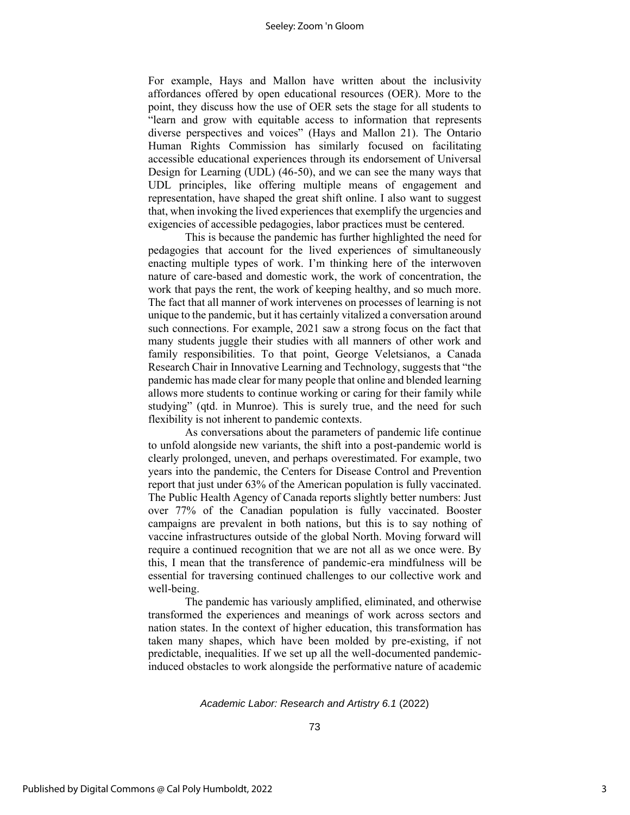#### Seeley: Zoom 'n Gloom

For example, Hays and Mallon have written about the inclusivity affordances offered by open educational resources (OER). More to the point, they discuss how the use of OER sets the stage for all students to "learn and grow with equitable access to information that represents diverse perspectives and voices" (Hays and Mallon 21). The Ontario Human Rights Commission has similarly focused on facilitating accessible educational experiences through its endorsement of Universal Design for Learning (UDL) (46-50), and we can see the many ways that UDL principles, like offering multiple means of engagement and representation, have shaped the great shift online. I also want to suggest that, when invoking the lived experiences that exemplify the urgencies and exigencies of accessible pedagogies, labor practices must be centered.

This is because the pandemic has further highlighted the need for pedagogies that account for the lived experiences of simultaneously enacting multiple types of work. I'm thinking here of the interwoven nature of care-based and domestic work, the work of concentration, the work that pays the rent, the work of keeping healthy, and so much more. The fact that all manner of work intervenes on processes of learning is not unique to the pandemic, but it has certainly vitalized a conversation around such connections. For example, 2021 saw a strong focus on the fact that many students juggle their studies with all manners of other work and family responsibilities. To that point, George Veletsianos, a Canada Research Chair in Innovative Learning and Technology, suggests that "the pandemic has made clear for many people that online and blended learning allows more students to continue working or caring for their family while studying" (qtd. in Munroe). This is surely true, and the need for such flexibility is not inherent to pandemic contexts.

As conversations about the parameters of pandemic life continue to unfold alongside new variants, the shift into a post-pandemic world is clearly prolonged, uneven, and perhaps overestimated. For example, two years into the pandemic, the Centers for Disease Control and Prevention report that just under 63% of the American population is fully vaccinated. The Public Health Agency of Canada reports slightly better numbers: Just over 77% of the Canadian population is fully vaccinated. Booster campaigns are prevalent in both nations, but this is to say nothing of vaccine infrastructures outside of the global North. Moving forward will require a continued recognition that we are not all as we once were. By this, I mean that the transference of pandemic-era mindfulness will be essential for traversing continued challenges to our collective work and well-being.

The pandemic has variously amplified, eliminated, and otherwise transformed the experiences and meanings of work across sectors and nation states. In the context of higher education, this transformation has taken many shapes, which have been molded by pre-existing, if not predictable, inequalities. If we set up all the well-documented pandemicinduced obstacles to work alongside the performative nature of academic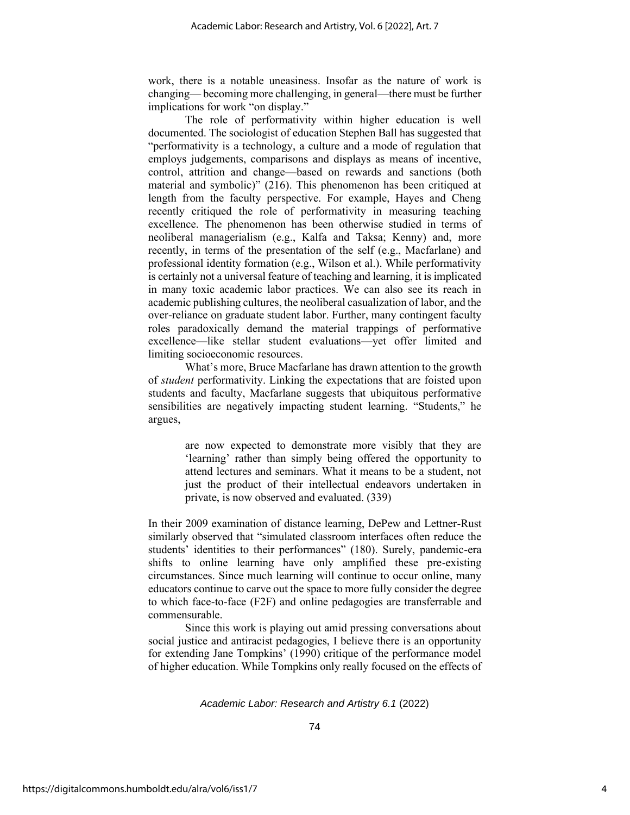work, there is a notable uneasiness. Insofar as the nature of work is changing— becoming more challenging, in general—there must be further implications for work "on display."

The role of performativity within higher education is well documented. The sociologist of education Stephen Ball has suggested that "performativity is a technology, a culture and a mode of regulation that employs judgements, comparisons and displays as means of incentive, control, attrition and change—based on rewards and sanctions (both material and symbolic)" (216). This phenomenon has been critiqued at length from the faculty perspective. For example, Hayes and Cheng recently critiqued the role of performativity in measuring teaching excellence. The phenomenon has been otherwise studied in terms of neoliberal managerialism (e.g., Kalfa and Taksa; Kenny) and, more recently, in terms of the presentation of the self (e.g., Macfarlane) and professional identity formation (e.g., Wilson et al.). While performativity is certainly not a universal feature of teaching and learning, it is implicated in many toxic academic labor practices. We can also see its reach in academic publishing cultures, the neoliberal casualization of labor, and the over-reliance on graduate student labor. Further, many contingent faculty roles paradoxically demand the material trappings of performative excellence—like stellar student evaluations—yet offer limited and limiting socioeconomic resources.

What's more, Bruce Macfarlane has drawn attention to the growth of *student* performativity. Linking the expectations that are foisted upon students and faculty, Macfarlane suggests that ubiquitous performative sensibilities are negatively impacting student learning. "Students," he argues,

> are now expected to demonstrate more visibly that they are 'learning' rather than simply being offered the opportunity to attend lectures and seminars. What it means to be a student, not just the product of their intellectual endeavors undertaken in private, is now observed and evaluated. (339)

In their 2009 examination of distance learning, DePew and Lettner-Rust similarly observed that "simulated classroom interfaces often reduce the students' identities to their performances" (180). Surely, pandemic-era shifts to online learning have only amplified these pre-existing circumstances. Since much learning will continue to occur online, many educators continue to carve out the space to more fully consider the degree to which face-to-face (F2F) and online pedagogies are transferrable and commensurable.

Since this work is playing out amid pressing conversations about social justice and antiracist pedagogies, I believe there is an opportunity for extending Jane Tompkins' (1990) critique of the performance model of higher education. While Tompkins only really focused on the effects of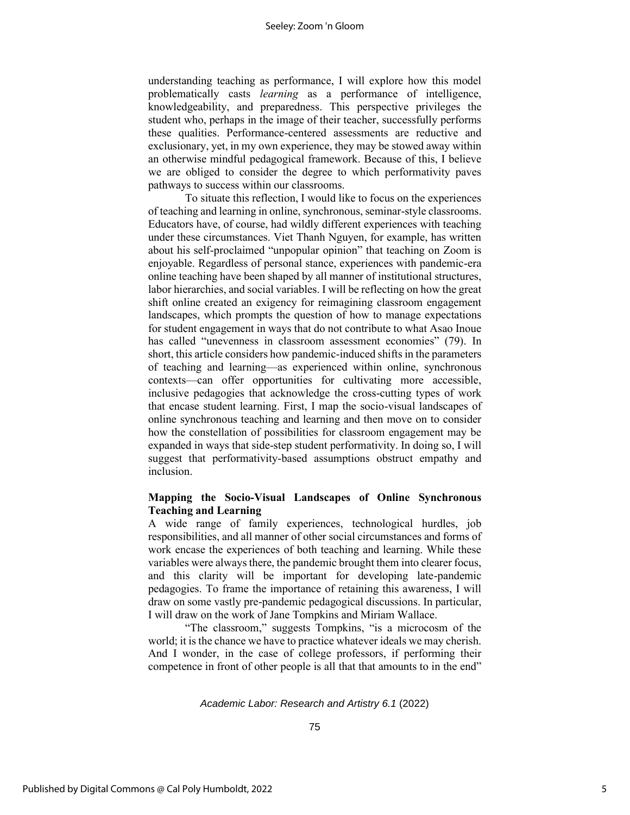#### Seeley: Zoom 'n Gloom

understanding teaching as performance, I will explore how this model problematically casts *learning* as a performance of intelligence, knowledgeability, and preparedness. This perspective privileges the student who, perhaps in the image of their teacher, successfully performs these qualities. Performance-centered assessments are reductive and exclusionary, yet, in my own experience, they may be stowed away within an otherwise mindful pedagogical framework. Because of this, I believe we are obliged to consider the degree to which performativity paves pathways to success within our classrooms.

To situate this reflection, I would like to focus on the experiences of teaching and learning in online, synchronous, seminar-style classrooms. Educators have, of course, had wildly different experiences with teaching under these circumstances. Viet Thanh Nguyen, for example, has written about his self-proclaimed "unpopular opinion" that teaching on Zoom is enjoyable. Regardless of personal stance, experiences with pandemic-era online teaching have been shaped by all manner of institutional structures, labor hierarchies, and social variables. I will be reflecting on how the great shift online created an exigency for reimagining classroom engagement landscapes, which prompts the question of how to manage expectations for student engagement in ways that do not contribute to what Asao Inoue has called "unevenness in classroom assessment economies" (79). In short, this article considers how pandemic-induced shifts in the parameters of teaching and learning—as experienced within online, synchronous contexts—can offer opportunities for cultivating more accessible, inclusive pedagogies that acknowledge the cross-cutting types of work that encase student learning. First, I map the socio-visual landscapes of online synchronous teaching and learning and then move on to consider how the constellation of possibilities for classroom engagement may be expanded in ways that side-step student performativity. In doing so, I will suggest that performativity-based assumptions obstruct empathy and inclusion.

### **Mapping the Socio-Visual Landscapes of Online Synchronous Teaching and Learning**

A wide range of family experiences, technological hurdles, job responsibilities, and all manner of other social circumstances and forms of work encase the experiences of both teaching and learning. While these variables were always there, the pandemic brought them into clearer focus, and this clarity will be important for developing late-pandemic pedagogies. To frame the importance of retaining this awareness, I will draw on some vastly pre-pandemic pedagogical discussions. In particular, I will draw on the work of Jane Tompkins and Miriam Wallace.

"The classroom," suggests Tompkins, "is a microcosm of the world; it is the chance we have to practice whatever ideals we may cherish. And I wonder, in the case of college professors, if performing their competence in front of other people is all that that amounts to in the end"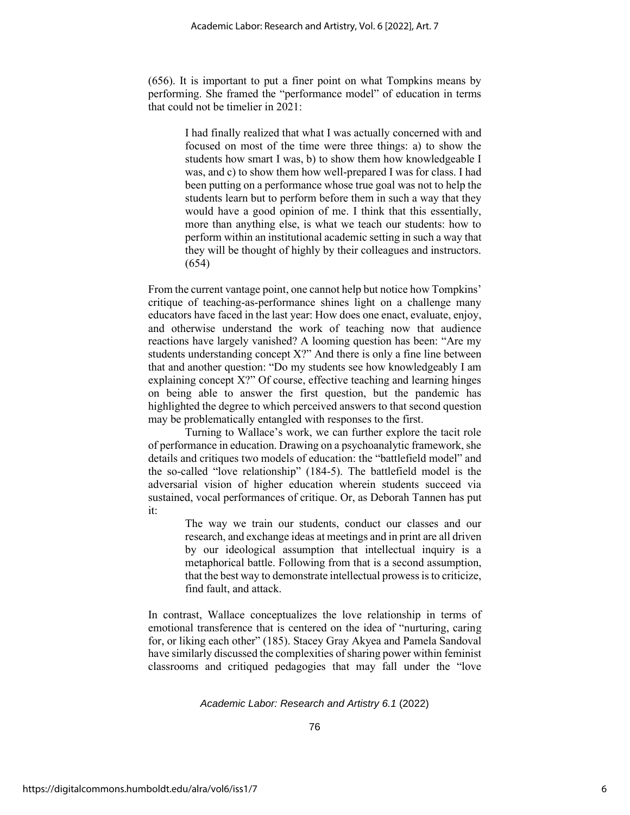(656). It is important to put a finer point on what Tompkins means by performing. She framed the "performance model" of education in terms that could not be timelier in 2021:

> I had finally realized that what I was actually concerned with and focused on most of the time were three things: a) to show the students how smart I was, b) to show them how knowledgeable I was, and c) to show them how well-prepared I was for class. I had been putting on a performance whose true goal was not to help the students learn but to perform before them in such a way that they would have a good opinion of me. I think that this essentially, more than anything else, is what we teach our students: how to perform within an institutional academic setting in such a way that they will be thought of highly by their colleagues and instructors. (654)

From the current vantage point, one cannot help but notice how Tompkins' critique of teaching-as-performance shines light on a challenge many educators have faced in the last year: How does one enact, evaluate, enjoy, and otherwise understand the work of teaching now that audience reactions have largely vanished? A looming question has been: "Are my students understanding concept X?" And there is only a fine line between that and another question: "Do my students see how knowledgeably I am explaining concept X?" Of course, effective teaching and learning hinges on being able to answer the first question, but the pandemic has highlighted the degree to which perceived answers to that second question may be problematically entangled with responses to the first.

Turning to Wallace's work, we can further explore the tacit role of performance in education. Drawing on a psychoanalytic framework, she details and critiques two models of education: the "battlefield model" and the so-called "love relationship" (184-5). The battlefield model is the adversarial vision of higher education wherein students succeed via sustained, vocal performances of critique. Or, as Deborah Tannen has put it:

> The way we train our students, conduct our classes and our research, and exchange ideas at meetings and in print are all driven by our ideological assumption that intellectual inquiry is a metaphorical battle. Following from that is a second assumption, that the best way to demonstrate intellectual prowess is to criticize, find fault, and attack.

In contrast, Wallace conceptualizes the love relationship in terms of emotional transference that is centered on the idea of "nurturing, caring for, or liking each other" (185). Stacey Gray Akyea and Pamela Sandoval have similarly discussed the complexities of sharing power within feminist classrooms and critiqued pedagogies that may fall under the "love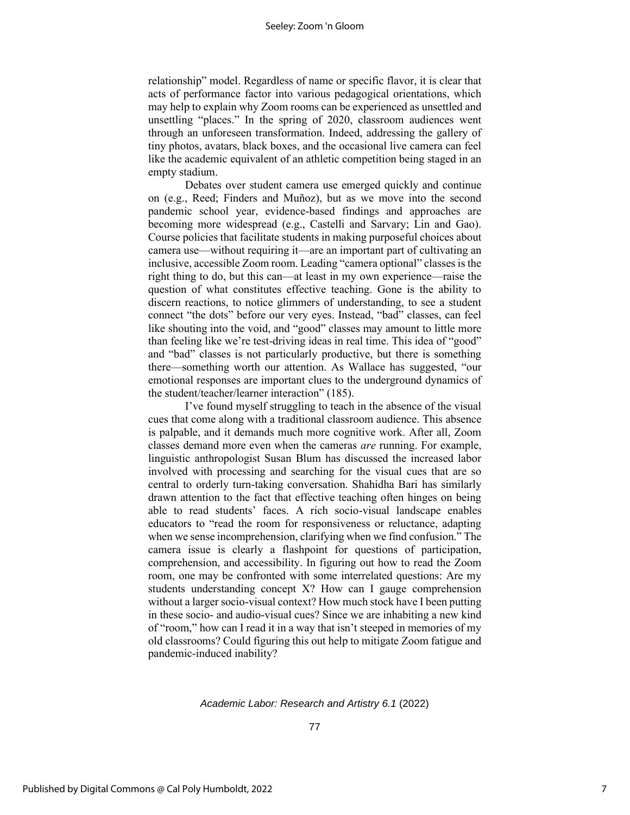relationship" model. Regardless of name or specific flavor, it is clear that acts of performance factor into various pedagogical orientations, which may help to explain why Zoom rooms can be experienced as unsettled and unsettling "places." In the spring of 2020, classroom audiences went through an unforeseen transformation. Indeed, addressing the gallery of tiny photos, avatars, black boxes, and the occasional live camera can feel like the academic equivalent of an athletic competition being staged in an empty stadium.

Debates over student camera use emerged quickly and continue on (e.g., Reed; Finders and Muñoz), but as we move into the second pandemic school year, evidence-based findings and approaches are becoming more widespread (e.g., Castelli and Sarvary; Lin and Gao). Course policies that facilitate students in making purposeful choices about camera use—without requiring it—are an important part of cultivating an inclusive, accessible Zoom room. Leading "camera optional" classes is the right thing to do, but this can—at least in my own experience—raise the question of what constitutes effective teaching. Gone is the ability to discern reactions, to notice glimmers of understanding, to see a student connect "the dots" before our very eyes. Instead, "bad" classes, can feel like shouting into the void, and "good" classes may amount to little more than feeling like we're test-driving ideas in real time. This idea of "good" and "bad" classes is not particularly productive, but there is something there—something worth our attention. As Wallace has suggested, "our emotional responses are important clues to the underground dynamics of the student/teacher/learner interaction" (185).

 I've found myself struggling to teach in the absence of the visual cues that come along with a traditional classroom audience. This absence is palpable, and it demands much more cognitive work. After all, Zoom classes demand more even when the cameras *are* running. For example, linguistic anthropologist Susan Blum has discussed the increased labor involved with processing and searching for the visual cues that are so central to orderly turn-taking conversation. Shahidha Bari has similarly drawn attention to the fact that effective teaching often hinges on being able to read students' faces. A rich socio-visual landscape enables educators to "read the room for responsiveness or reluctance, adapting when we sense incomprehension, clarifying when we find confusion." The camera issue is clearly a flashpoint for questions of participation, comprehension, and accessibility. In figuring out how to read the Zoom room, one may be confronted with some interrelated questions: Are my students understanding concept X? How can I gauge comprehension without a larger socio-visual context? How much stock have I been putting in these socio- and audio-visual cues? Since we are inhabiting a new kind of "room," how can I read it in a way that isn't steeped in memories of my old classrooms? Could figuring this out help to mitigate Zoom fatigue and pandemic-induced inability?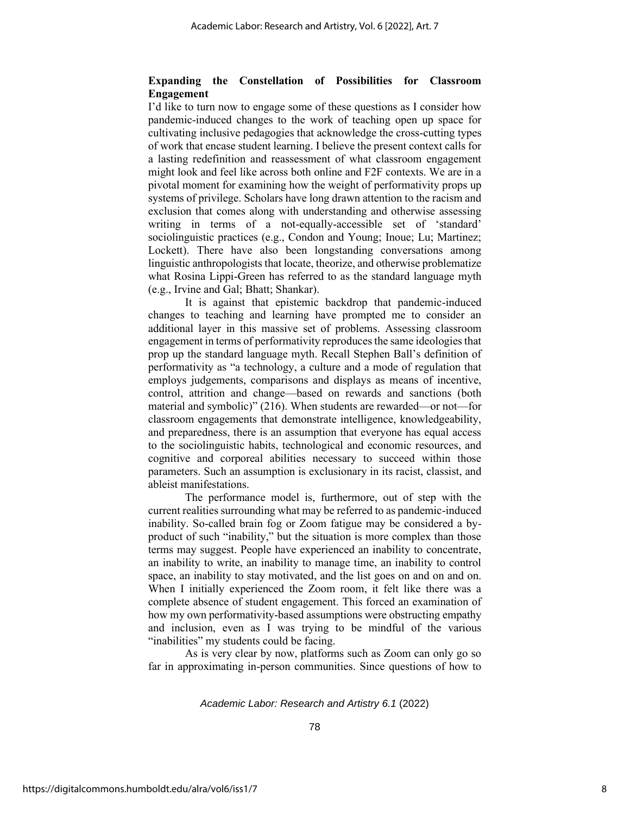### **Expanding the Constellation of Possibilities for Classroom Engagement**

I'd like to turn now to engage some of these questions as I consider how pandemic-induced changes to the work of teaching open up space for cultivating inclusive pedagogies that acknowledge the cross-cutting types of work that encase student learning. I believe the present context calls for a lasting redefinition and reassessment of what classroom engagement might look and feel like across both online and F2F contexts. We are in a pivotal moment for examining how the weight of performativity props up systems of privilege. Scholars have long drawn attention to the racism and exclusion that comes along with understanding and otherwise assessing writing in terms of a not-equally-accessible set of 'standard' sociolinguistic practices (e.g., Condon and Young; Inoue; Lu; Martinez; Lockett). There have also been longstanding conversations among linguistic anthropologists that locate, theorize, and otherwise problematize what Rosina Lippi-Green has referred to as the standard language myth (e.g., Irvine and Gal; Bhatt; Shankar).

It is against that epistemic backdrop that pandemic-induced changes to teaching and learning have prompted me to consider an additional layer in this massive set of problems. Assessing classroom engagement in terms of performativity reproduces the same ideologies that prop up the standard language myth. Recall Stephen Ball's definition of performativity as "a technology, a culture and a mode of regulation that employs judgements, comparisons and displays as means of incentive, control, attrition and change—based on rewards and sanctions (both material and symbolic)" (216). When students are rewarded—or not—for classroom engagements that demonstrate intelligence, knowledgeability, and preparedness, there is an assumption that everyone has equal access to the sociolinguistic habits, technological and economic resources, and cognitive and corporeal abilities necessary to succeed within those parameters. Such an assumption is exclusionary in its racist, classist, and ableist manifestations.

The performance model is, furthermore, out of step with the current realities surrounding what may be referred to as pandemic-induced inability. So-called brain fog or Zoom fatigue may be considered a byproduct of such "inability," but the situation is more complex than those terms may suggest. People have experienced an inability to concentrate, an inability to write, an inability to manage time, an inability to control space, an inability to stay motivated, and the list goes on and on and on. When I initially experienced the Zoom room, it felt like there was a complete absence of student engagement. This forced an examination of how my own performativity-based assumptions were obstructing empathy and inclusion, even as I was trying to be mindful of the various "inabilities" my students could be facing.

As is very clear by now, platforms such as Zoom can only go so far in approximating in-person communities. Since questions of how to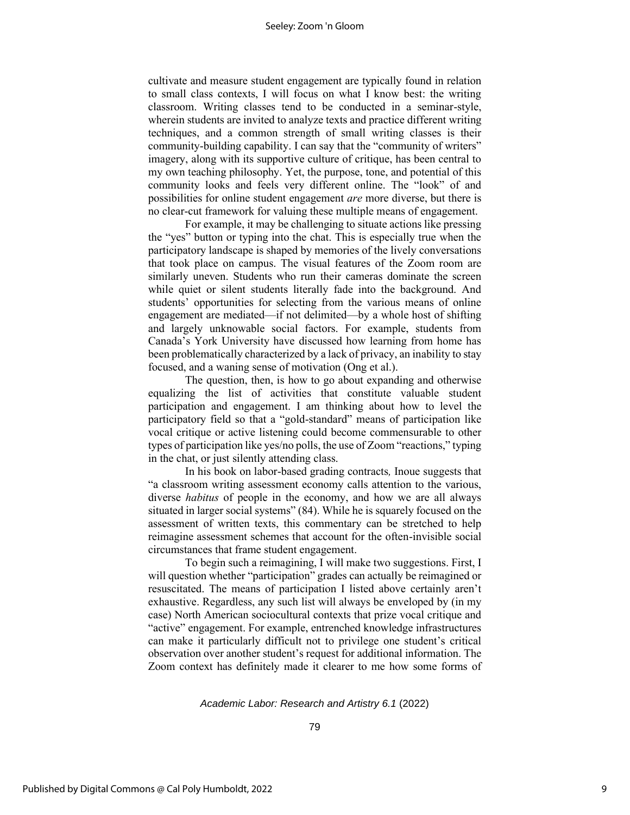cultivate and measure student engagement are typically found in relation to small class contexts, I will focus on what I know best: the writing classroom. Writing classes tend to be conducted in a seminar-style, wherein students are invited to analyze texts and practice different writing techniques, and a common strength of small writing classes is their community-building capability. I can say that the "community of writers" imagery, along with its supportive culture of critique, has been central to my own teaching philosophy. Yet, the purpose, tone, and potential of this community looks and feels very different online. The "look" of and possibilities for online student engagement *are* more diverse, but there is no clear-cut framework for valuing these multiple means of engagement.

For example, it may be challenging to situate actions like pressing the "yes" button or typing into the chat. This is especially true when the participatory landscape is shaped by memories of the lively conversations that took place on campus. The visual features of the Zoom room are similarly uneven. Students who run their cameras dominate the screen while quiet or silent students literally fade into the background. And students' opportunities for selecting from the various means of online engagement are mediated—if not delimited—by a whole host of shifting and largely unknowable social factors. For example, students from Canada's York University have discussed how learning from home has been problematically characterized by a lack of privacy, an inability to stay focused, and a waning sense of motivation (Ong et al.).

The question, then, is how to go about expanding and otherwise equalizing the list of activities that constitute valuable student participation and engagement. I am thinking about how to level the participatory field so that a "gold-standard" means of participation like vocal critique or active listening could become commensurable to other types of participation like yes/no polls, the use of Zoom "reactions," typing in the chat, or just silently attending class.

In his book on labor-based grading contracts*,* Inoue suggests that "a classroom writing assessment economy calls attention to the various, diverse *habitus* of people in the economy, and how we are all always situated in larger social systems" (84). While he is squarely focused on the assessment of written texts, this commentary can be stretched to help reimagine assessment schemes that account for the often-invisible social circumstances that frame student engagement.

To begin such a reimagining, I will make two suggestions. First, I will question whether "participation" grades can actually be reimagined or resuscitated. The means of participation I listed above certainly aren't exhaustive. Regardless, any such list will always be enveloped by (in my case) North American sociocultural contexts that prize vocal critique and "active" engagement. For example, entrenched knowledge infrastructures can make it particularly difficult not to privilege one student's critical observation over another student's request for additional information. The Zoom context has definitely made it clearer to me how some forms of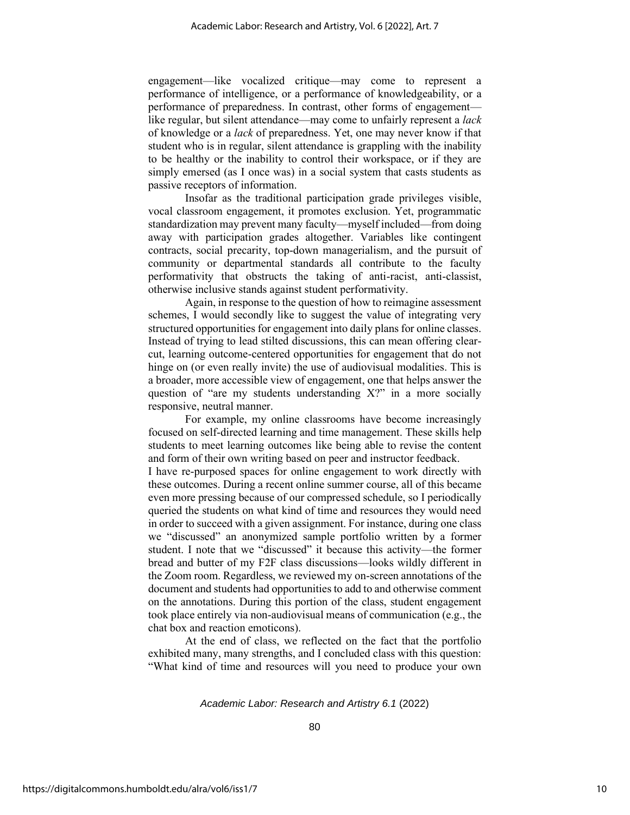engagement—like vocalized critique—may come to represent a performance of intelligence, or a performance of knowledgeability, or a performance of preparedness. In contrast, other forms of engagement like regular, but silent attendance—may come to unfairly represent a *lack* of knowledge or a *lack* of preparedness. Yet, one may never know if that student who is in regular, silent attendance is grappling with the inability to be healthy or the inability to control their workspace, or if they are simply emersed (as I once was) in a social system that casts students as passive receptors of information.

Insofar as the traditional participation grade privileges visible, vocal classroom engagement, it promotes exclusion. Yet, programmatic standardization may prevent many faculty—myself included—from doing away with participation grades altogether. Variables like contingent contracts, social precarity, top-down managerialism, and the pursuit of community or departmental standards all contribute to the faculty performativity that obstructs the taking of anti-racist, anti-classist, otherwise inclusive stands against student performativity.

Again, in response to the question of how to reimagine assessment schemes, I would secondly like to suggest the value of integrating very structured opportunities for engagement into daily plans for online classes. Instead of trying to lead stilted discussions, this can mean offering clearcut, learning outcome-centered opportunities for engagement that do not hinge on (or even really invite) the use of audiovisual modalities. This is a broader, more accessible view of engagement, one that helps answer the question of "are my students understanding X?" in a more socially responsive, neutral manner.

For example, my online classrooms have become increasingly focused on self-directed learning and time management. These skills help students to meet learning outcomes like being able to revise the content and form of their own writing based on peer and instructor feedback.

I have re-purposed spaces for online engagement to work directly with these outcomes. During a recent online summer course, all of this became even more pressing because of our compressed schedule, so I periodically queried the students on what kind of time and resources they would need in order to succeed with a given assignment. For instance, during one class we "discussed" an anonymized sample portfolio written by a former student. I note that we "discussed" it because this activity—the former bread and butter of my F2F class discussions—looks wildly different in the Zoom room. Regardless, we reviewed my on-screen annotations of the document and students had opportunities to add to and otherwise comment on the annotations. During this portion of the class, student engagement took place entirely via non-audiovisual means of communication (e.g., the chat box and reaction emoticons).

At the end of class, we reflected on the fact that the portfolio exhibited many, many strengths, and I concluded class with this question: "What kind of time and resources will you need to produce your own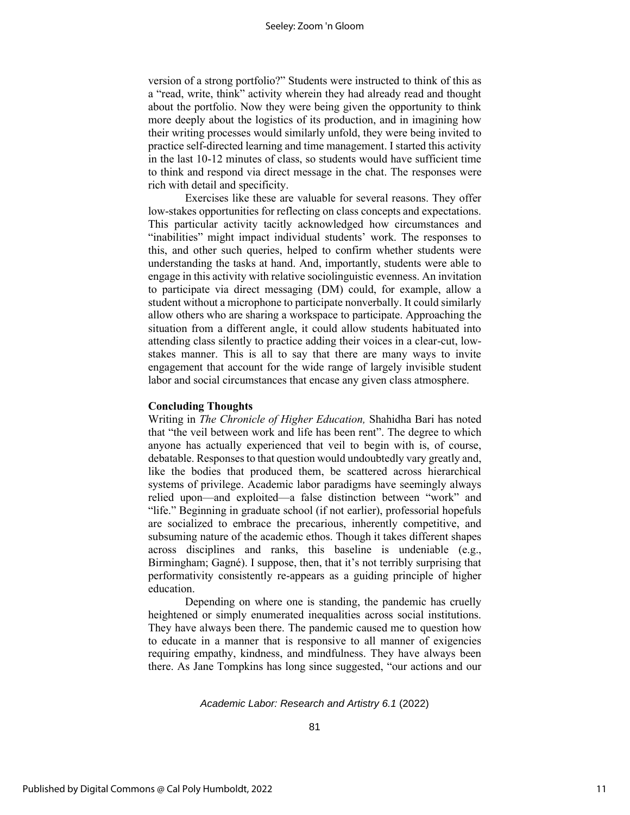version of a strong portfolio?" Students were instructed to think of this as a "read, write, think" activity wherein they had already read and thought about the portfolio. Now they were being given the opportunity to think more deeply about the logistics of its production, and in imagining how their writing processes would similarly unfold, they were being invited to practice self-directed learning and time management. I started this activity in the last 10-12 minutes of class, so students would have sufficient time to think and respond via direct message in the chat. The responses were rich with detail and specificity.

Exercises like these are valuable for several reasons. They offer low-stakes opportunities for reflecting on class concepts and expectations. This particular activity tacitly acknowledged how circumstances and "inabilities" might impact individual students' work. The responses to this, and other such queries, helped to confirm whether students were understanding the tasks at hand. And, importantly, students were able to engage in this activity with relative sociolinguistic evenness. An invitation to participate via direct messaging (DM) could, for example, allow a student without a microphone to participate nonverbally. It could similarly allow others who are sharing a workspace to participate. Approaching the situation from a different angle, it could allow students habituated into attending class silently to practice adding their voices in a clear-cut, lowstakes manner. This is all to say that there are many ways to invite engagement that account for the wide range of largely invisible student labor and social circumstances that encase any given class atmosphere.

#### **Concluding Thoughts**

Writing in *The Chronicle of Higher Education,* Shahidha Bari has noted that "the veil between work and life has been rent". The degree to which anyone has actually experienced that veil to begin with is, of course, debatable. Responses to that question would undoubtedly vary greatly and, like the bodies that produced them, be scattered across hierarchical systems of privilege. Academic labor paradigms have seemingly always relied upon—and exploited—a false distinction between "work" and "life." Beginning in graduate school (if not earlier), professorial hopefuls are socialized to embrace the precarious, inherently competitive, and subsuming nature of the academic ethos. Though it takes different shapes across disciplines and ranks, this baseline is undeniable (e.g., Birmingham; Gagné). I suppose, then, that it's not terribly surprising that performativity consistently re-appears as a guiding principle of higher education.

Depending on where one is standing, the pandemic has cruelly heightened or simply enumerated inequalities across social institutions. They have always been there. The pandemic caused me to question how to educate in a manner that is responsive to all manner of exigencies requiring empathy, kindness, and mindfulness. They have always been there. As Jane Tompkins has long since suggested, "our actions and our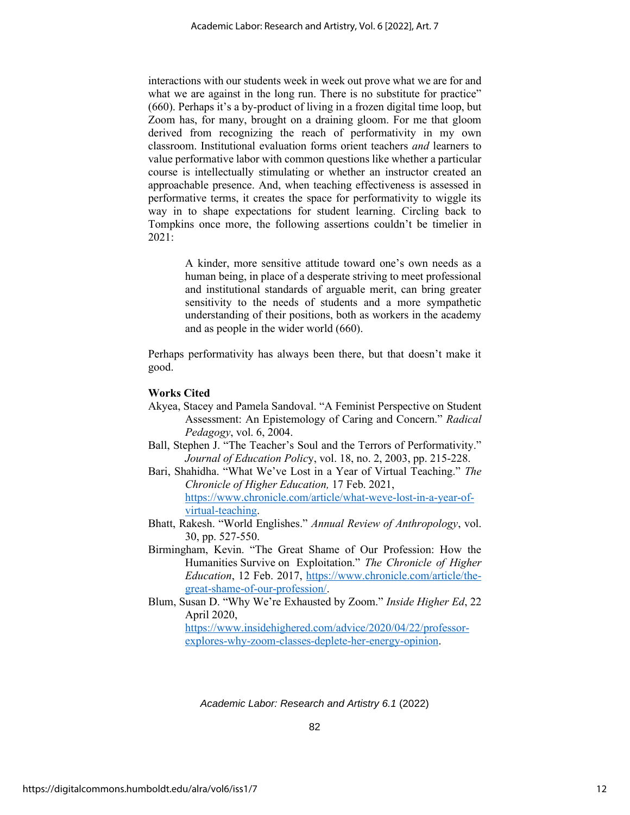interactions with our students week in week out prove what we are for and what we are against in the long run. There is no substitute for practice" (660). Perhaps it's a by-product of living in a frozen digital time loop, but Zoom has, for many, brought on a draining gloom. For me that gloom derived from recognizing the reach of performativity in my own classroom. Institutional evaluation forms orient teachers *and* learners to value performative labor with common questions like whether a particular course is intellectually stimulating or whether an instructor created an approachable presence. And, when teaching effectiveness is assessed in performative terms, it creates the space for performativity to wiggle its way in to shape expectations for student learning. Circling back to Tompkins once more, the following assertions couldn't be timelier in 2021:

> A kinder, more sensitive attitude toward one's own needs as a human being, in place of a desperate striving to meet professional and institutional standards of arguable merit, can bring greater sensitivity to the needs of students and a more sympathetic understanding of their positions, both as workers in the academy and as people in the wider world (660).

Perhaps performativity has always been there, but that doesn't make it good.

#### **Works Cited**

- Akyea, Stacey and Pamela Sandoval. "A Feminist Perspective on Student Assessment: An Epistemology of Caring and Concern." *Radical Pedagogy*, vol. 6, 2004.
- Ball, Stephen J. "The Teacher's Soul and the Terrors of Performativity." *Journal of Education Polic*y, vol. 18, no. 2, 2003, pp. 215-228.
- Bari, Shahidha. "What We've Lost in a Year of Virtual Teaching." *The Chronicle of Higher Education,* 17 Feb. 2021, [https://www.chronicle.com/article/what-weve-lost-in-a-year-of](https://www.chronicle.com/article/what-weve-lost-in-a-year-of-virtual-teaching)[virtual-teaching.](https://www.chronicle.com/article/what-weve-lost-in-a-year-of-virtual-teaching)
- Bhatt, Rakesh. "World Englishes." *Annual Review of Anthropology*, vol. 30, pp. 527-550.
- Birmingham, Kevin. "The Great Shame of Our Profession: How the Humanities Survive on Exploitation." *The Chronicle of Higher Education*, 12 Feb. 2017, [https://www.chronicle.com/article/the](https://www.chronicle.com/article/the-great-shame-of-our-profession/)[great-shame-of-our-profession/.](https://www.chronicle.com/article/the-great-shame-of-our-profession/)
- Blum, Susan D. "Why We're Exhausted by Zoom." *Inside Higher Ed*, 22 April 2020,

[https://www.insidehighered.com/advice/2020/04/22/professor](https://www.insidehighered.com/advice/2020/04/22/professor-explores-why-zoom-classes-deplete-her-energy-opinion)[explores-why-zoom-classes-deplete-her-energy-opinion.](https://www.insidehighered.com/advice/2020/04/22/professor-explores-why-zoom-classes-deplete-her-energy-opinion)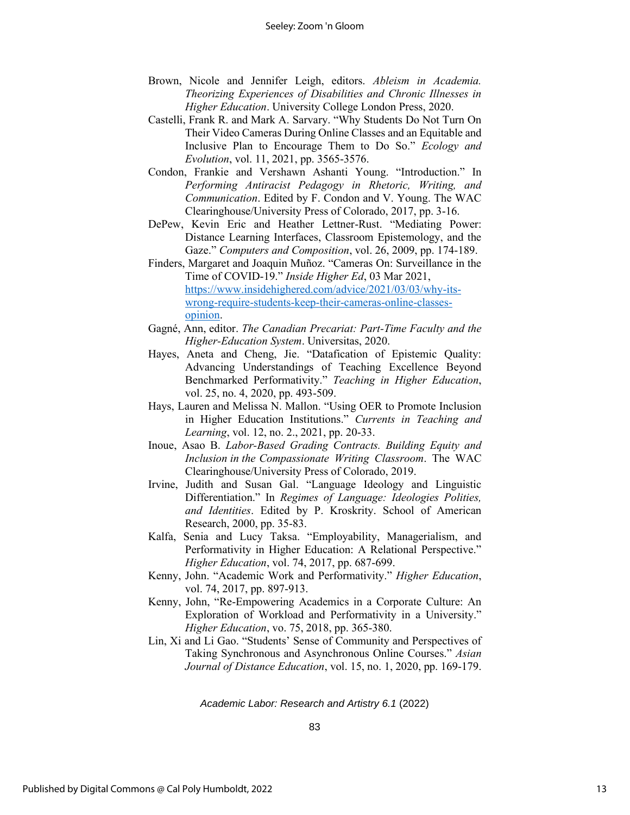- Brown, Nicole and Jennifer Leigh, editors. *Ableism in Academia. Theorizing Experiences of Disabilities and Chronic Illnesses in Higher Education*. University College London Press, 2020.
- Castelli, Frank R. and Mark A. Sarvary. "Why Students Do Not Turn On Their Video Cameras During Online Classes and an Equitable and Inclusive Plan to Encourage Them to Do So." *Ecology and Evolution*, vol. 11, 2021, pp. 3565-3576.
- Condon, Frankie and Vershawn Ashanti Young. "Introduction." In *Performing Antiracist Pedagogy in Rhetoric, Writing, and Communication*. Edited by F. Condon and V. Young. The WAC Clearinghouse/University Press of Colorado, 2017, pp. 3-16.
- DePew, Kevin Eric and Heather Lettner-Rust. "Mediating Power: Distance Learning Interfaces, Classroom Epistemology, and the Gaze." *Computers and Composition*, vol. 26, 2009, pp. 174-189.
- Finders, Margaret and Joaquin Muñoz. "Cameras On: Surveillance in the Time of COVID-19." *Inside Higher Ed*, 03 Mar 2021, [https://www.insidehighered.com/advice/2021/03/03/why-its](https://www.insidehighered.com/advice/2021/03/03/why-its-wrong-require-students-keep-their-cameras-online-classes-opinion)[wrong-require-students-keep-their-cameras-online-classes](https://www.insidehighered.com/advice/2021/03/03/why-its-wrong-require-students-keep-their-cameras-online-classes-opinion)[opinion.](https://www.insidehighered.com/advice/2021/03/03/why-its-wrong-require-students-keep-their-cameras-online-classes-opinion)
- Gagné, Ann, editor. *The Canadian Precariat: Part-Time Faculty and the Higher-Education System*. Universitas, 2020.
- Hayes, Aneta and Cheng, Jie. "Datafication of Epistemic Quality: Advancing Understandings of Teaching Excellence Beyond Benchmarked Performativity." *Teaching in Higher Education*, vol. 25, no. 4, 2020, pp. 493-509.
- Hays, Lauren and Melissa N. Mallon. "Using OER to Promote Inclusion in Higher Education Institutions." *Currents in Teaching and Learning*, vol. 12, no. 2., 2021, pp. 20-33.
- Inoue, Asao B. *Labor-Based Grading Contracts. Building Equity and Inclusion in the Compassionate Writing Classroom*. The WAC Clearinghouse/University Press of Colorado, 2019.
- Irvine, Judith and Susan Gal. "Language Ideology and Linguistic Differentiation." In *Regimes of Language: Ideologies Polities, and Identities*. Edited by P. Kroskrity. School of American Research, 2000, pp. 35-83.
- Kalfa, Senia and Lucy Taksa. "Employability, Managerialism, and Performativity in Higher Education: A Relational Perspective." *Higher Education*, vol. 74, 2017, pp. 687-699.
- Kenny, John. "Academic Work and Performativity." *Higher Education*, vol. 74, 2017, pp. 897-913.
- Kenny, John, "Re-Empowering Academics in a Corporate Culture: An Exploration of Workload and Performativity in a University." *Higher Education*, vo. 75, 2018, pp. 365-380.
- Lin, Xi and Li Gao. "Students' Sense of Community and Perspectives of Taking Synchronous and Asynchronous Online Courses." *Asian Journal of Distance Education*, vol. 15, no. 1, 2020, pp. 169-179.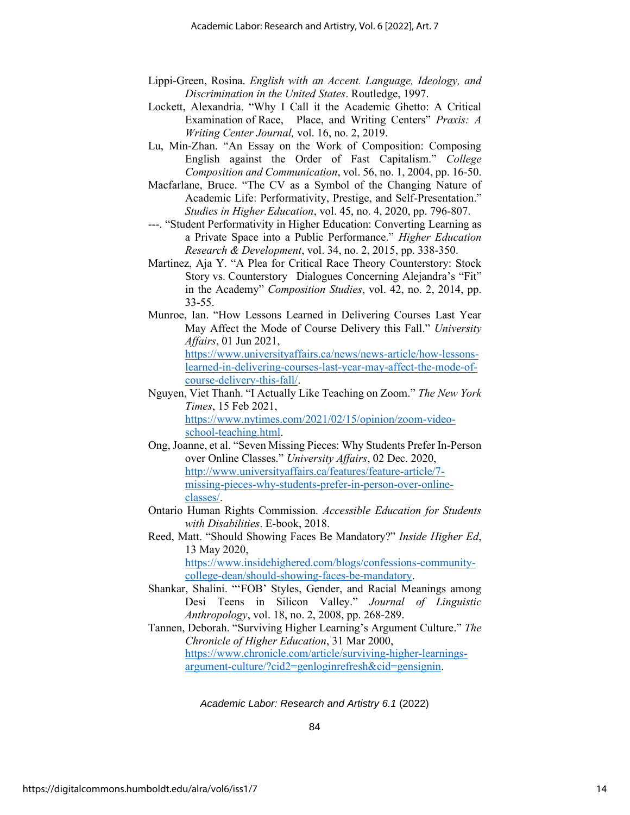- Lippi-Green, Rosina. *English with an Accent. Language, Ideology, and Discrimination in the United States*. Routledge, 1997.
- Lockett, Alexandria. "Why I Call it the Academic Ghetto: A Critical Examination of Race, Place, and Writing Centers" *Praxis: A Writing Center Journal,* vol. 16, no. 2, 2019.
- Lu, Min-Zhan. "An Essay on the Work of Composition: Composing English against the Order of Fast Capitalism." *College Composition and Communication*, vol. 56, no. 1, 2004, pp. 16-50.
- Macfarlane, Bruce. "The CV as a Symbol of the Changing Nature of Academic Life: Performativity, Prestige, and Self-Presentation." *Studies in Higher Education*, vol. 45, no. 4, 2020, pp. 796-807.
- ---. "Student Performativity in Higher Education: Converting Learning as a Private Space into a Public Performance." *Higher Education Research & Development*, vol. 34, no. 2, 2015, pp. 338-350.
- Martinez, Aja Y. "A Plea for Critical Race Theory Counterstory: Stock Story vs. Counterstory Dialogues Concerning Alejandra's "Fit" in the Academy" *Composition Studies*, vol. 42, no. 2, 2014, pp. 33-55.
- Munroe, Ian. "How Lessons Learned in Delivering Courses Last Year May Affect the Mode of Course Delivery this Fall." *University Affairs*, 01 Jun 2021,

[https://www.universityaffairs.ca/news/news-article/how-lessons](https://www.universityaffairs.ca/news/news-article/how-lessons-learned-in-delivering-courses-last-year-may-affect-the-mode-of-course-delivery-this-fall/)[learned-in-delivering-courses-last-year-may-affect-the-mode-of](https://www.universityaffairs.ca/news/news-article/how-lessons-learned-in-delivering-courses-last-year-may-affect-the-mode-of-course-delivery-this-fall/)[course-delivery-this-fall/.](https://www.universityaffairs.ca/news/news-article/how-lessons-learned-in-delivering-courses-last-year-may-affect-the-mode-of-course-delivery-this-fall/)

- Nguyen, Viet Thanh. "I Actually Like Teaching on Zoom." *The New York Times*, 15 Feb 2021, [https://www.nytimes.com/2021/02/15/opinion/zoom-video](https://www.nytimes.com/2021/02/15/opinion/zoom-video-school-teaching.html)[school-teaching.html.](https://www.nytimes.com/2021/02/15/opinion/zoom-video-school-teaching.html)
- Ong, Joanne, et al. "Seven Missing Pieces: Why Students Prefer In-Person over Online Classes." *University Affairs*, 02 Dec. 2020, [http://www.universityaffairs.ca/features/feature-article/7](http://www.universityaffairs.ca/features/feature-article/7-missing-pieces-why-students-prefer-in-person-over-online-classes/) [missing-pieces-why-students-prefer-in-person-over-online](http://www.universityaffairs.ca/features/feature-article/7-missing-pieces-why-students-prefer-in-person-over-online-classes/)[classes/.](http://www.universityaffairs.ca/features/feature-article/7-missing-pieces-why-students-prefer-in-person-over-online-classes/)
- Ontario Human Rights Commission. *Accessible Education for Students with Disabilities*. E-book, 2018.

Reed, Matt. "Should Showing Faces Be Mandatory?" *Inside Higher Ed*, 13 May 2020, [https://www.insidehighered.com/blogs/confessions-community](https://www.insidehighered.com/blogs/confessions-community-college-dean/should-showing-faces-be-mandatory)[college-dean/should-showing-faces-be-mandatory.](https://www.insidehighered.com/blogs/confessions-community-college-dean/should-showing-faces-be-mandatory)

- Shankar, Shalini. "'FOB' Styles, Gender, and Racial Meanings among Desi Teens in Silicon Valley." *Journal of Linguistic Anthropology*, vol. 18, no. 2, 2008, pp. 268-289.
- Tannen, Deborah. "Surviving Higher Learning's Argument Culture." *The Chronicle of Higher Education*, 31 Mar 2000, [https://www.chronicle.com/article/surviving-higher-learnings](https://www.chronicle.com/article/surviving-higher-learnings-argument-culture/?cid2=genloginrefresh&cid=gensignin)[argument-culture/?cid2=genloginrefresh&cid=gensignin.](https://www.chronicle.com/article/surviving-higher-learnings-argument-culture/?cid2=genloginrefresh&cid=gensignin)